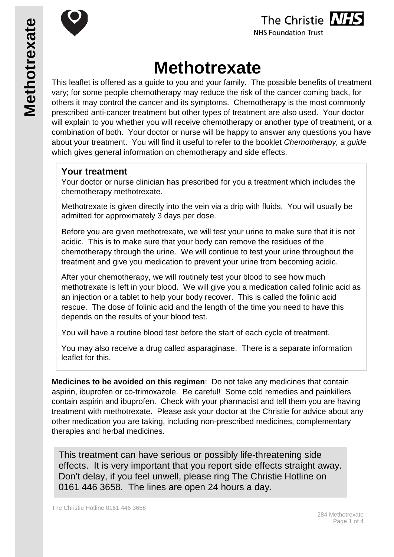

**NHS Foundation Trust** 

# **Methotrexate**

This leaflet is offered as a guide to you and your family. The possible benefits of treatment vary; for some people chemotherapy may reduce the risk of the cancer coming back, for others it may control the cancer and its symptoms. Chemotherapy is the most commonly prescribed anti-cancer treatment but other types of treatment are also used. Your doctor will explain to you whether you will receive chemotherapy or another type of treatment, or a combination of both. Your doctor or nurse will be happy to answer any questions you have about your treatment. You will find it useful to refer to the booklet *Chemotherapy, a guide* which gives general information on chemotherapy and side effects.

## **Your treatment**

Your doctor or nurse clinician has prescribed for you a treatment which includes the chemotherapy methotrexate.

Methotrexate is given directly into the vein via a drip with fluids. You will usually be admitted for approximately 3 days per dose.

Before you are given methotrexate, we will test your urine to make sure that it is not acidic. This is to make sure that your body can remove the residues of the chemotherapy through the urine. We will continue to test your urine throughout the treatment and give you medication to prevent your urine from becoming acidic.

After your chemotherapy, we will routinely test your blood to see how much methotrexate is left in your blood. We will give you a medication called folinic acid as an injection or a tablet to help your body recover. This is called the folinic acid rescue. The dose of folinic acid and the length of the time you need to have this depends on the results of your blood test.

You will have a routine blood test before the start of each cycle of treatment.

You may also receive a drug called asparaginase. There is a separate information leaflet for this.

**Medicines to be avoided on this regimen**: Do not take any medicines that contain aspirin, ibuprofen or co-trimoxazole. Be careful! Some cold remedies and painkillers contain aspirin and ibuprofen. Check with your pharmacist and tell them you are having treatment with methotrexate. Please ask your doctor at the Christie for advice about any other medication you are taking, including non-prescribed medicines, complementary therapies and herbal medicines.

This treatment can have serious or possibly life-threatening side effects. It is very important that you report side effects straight away. Don't delay, if you feel unwell, please ring The Christie Hotline on 0161 446 3658. The lines are open 24 hours a day.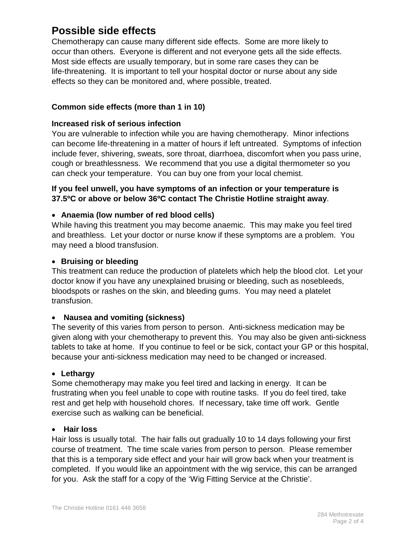# **Possible side effects**

Chemotherapy can cause many different side effects. Some are more likely to occur than others. Everyone is different and not everyone gets all the side effects. Most side effects are usually temporary, but in some rare cases they can be life-threatening. It is important to tell your hospital doctor or nurse about any side effects so they can be monitored and, where possible, treated.

### **Common side effects (more than 1 in 10)**

#### **Increased risk of serious infection**

You are vulnerable to infection while you are having chemotherapy. Minor infections can become life-threatening in a matter of hours if left untreated. Symptoms of infection include fever, shivering, sweats, sore throat, diarrhoea, discomfort when you pass urine, cough or breathlessness. We recommend that you use a digital thermometer so you can check your temperature. You can buy one from your local chemist.

#### **If you feel unwell, you have symptoms of an infection or your temperature is 37.5ºC or above or below 36ºC contact The Christie Hotline straight away**.

#### • **Anaemia (low number of red blood cells)**

While having this treatment you may become anaemic. This may make you feel tired and breathless. Let your doctor or nurse know if these symptoms are a problem. You may need a blood transfusion.

#### • **Bruising or bleeding**

This treatment can reduce the production of platelets which help the blood clot. Let your doctor know if you have any unexplained bruising or bleeding, such as nosebleeds, bloodspots or rashes on the skin, and bleeding gums. You may need a platelet transfusion.

#### • **Nausea and vomiting (sickness)**

The severity of this varies from person to person. Anti-sickness medication may be given along with your chemotherapy to prevent this. You may also be given anti-sickness tablets to take at home. If you continue to feel or be sick, contact your GP or this hospital, because your anti-sickness medication may need to be changed or increased.

#### • **Lethargy**

Some chemotherapy may make you feel tired and lacking in energy. It can be frustrating when you feel unable to cope with routine tasks. If you do feel tired, take rest and get help with household chores. If necessary, take time off work. Gentle exercise such as walking can be beneficial.

#### • **Hair loss**

Hair loss is usually total. The hair falls out gradually 10 to 14 days following your first course of treatment. The time scale varies from person to person. Please remember that this is a temporary side effect and your hair will grow back when your treatment is completed. If you would like an appointment with the wig service, this can be arranged for you. Ask the staff for a copy of the 'Wig Fitting Service at the Christie'.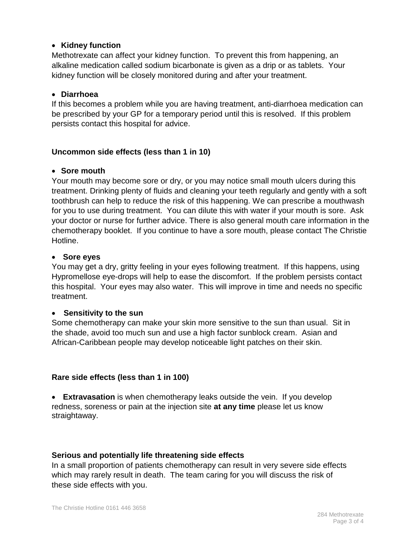#### • **Kidney function**

Methotrexate can affect your kidney function. To prevent this from happening, an alkaline medication called sodium bicarbonate is given as a drip or as tablets. Your kidney function will be closely monitored during and after your treatment.

#### • **Diarrhoea**

If this becomes a problem while you are having treatment, anti-diarrhoea medication can be prescribed by your GP for a temporary period until this is resolved. If this problem persists contact this hospital for advice.

#### **Uncommon side effects (less than 1 in 10)**

#### • **Sore mouth**

Your mouth may become sore or dry, or you may notice small mouth ulcers during this treatment. Drinking plenty of fluids and cleaning your teeth regularly and gently with a soft toothbrush can help to reduce the risk of this happening. We can prescribe a mouthwash for you to use during treatment. You can dilute this with water if your mouth is sore. Ask your doctor or nurse for further advice. There is also general mouth care information in the chemotherapy booklet. If you continue to have a sore mouth, please contact The Christie Hotline.

#### • **Sore eyes**

You may get a dry, gritty feeling in your eyes following treatment. If this happens, using Hypromellose eye-drops will help to ease the discomfort. If the problem persists contact this hospital. Your eyes may also water. This will improve in time and needs no specific treatment.

#### • **Sensitivity to the sun**

Some chemotherapy can make your skin more sensitive to the sun than usual. Sit in the shade, avoid too much sun and use a high factor sunblock cream. Asian and African-Caribbean people may develop noticeable light patches on their skin.

#### **Rare side effects (less than 1 in 100)**

• **Extravasation** is when chemotherapy leaks outside the vein. If you develop redness, soreness or pain at the injection site **at any time** please let us know straightaway.

#### **Serious and potentially life threatening side effects**

In a small proportion of patients chemotherapy can result in very severe side effects which may rarely result in death. The team caring for you will discuss the risk of these side effects with you.